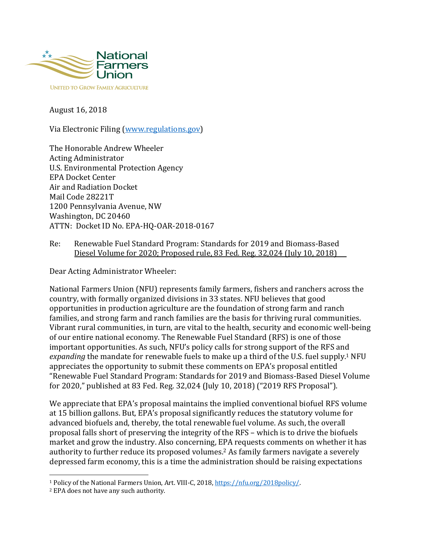

August 16, 2018

Via Electronic Filing (www.regulations.gov)

The Honorable Andrew Wheeler Acting Administrator U.S. Environmental Protection Agency EPA Docket Center Air and Radiation Docket Mail Code 28221T 1200 Pennsylvania Avenue, NW Washington, DC 20460 ATTN: Docket ID No. EPA-HQ-OAR-2018-0167

Re: Renewable Fuel Standard Program: Standards for 2019 and Biomass-Based Diesel Volume for 2020; Proposed rule, 83 Fed. Reg. 32,024 (July 10, 2018)

Dear Acting Administrator Wheeler:

National Farmers Union (NFU) represents family farmers, fishers and ranchers across the country, with formally organized divisions in 33 states. NFU believes that good opportunities in production agriculture are the foundation of strong farm and ranch families, and strong farm and ranch families are the basis for thriving rural communities. Vibrant rural communities, in turn, are vital to the health, security and economic well-being of our entire national economy. The Renewable Fuel Standard (RFS) is one of those important opportunities. As such, NFU's policy calls for strong support of the RFS and expanding the mandate for renewable fuels to make up a third of the U.S. fuel supply.<sup>1</sup> NFU appreciates the opportunity to submit these comments on EPA's proposal entitled "Renewable Fuel Standard Program: Standards for 2019 and Biomass-Based Diesel Volume for 2020," published at 83 Fed. Reg. 32,024 (July 10, 2018) ("2019 RFS Proposal").

We appreciate that EPA's proposal maintains the implied conventional biofuel RFS volume at 15 billion gallons. But, EPA's proposal significantly reduces the statutory volume for advanced biofuels and, thereby, the total renewable fuel volume. As such, the overall proposal falls short of preserving the integrity of the RFS – which is to drive the biofuels market and grow the industry. Also concerning, EPA requests comments on whether it has authority to further reduce its proposed volumes.<sup>2</sup> As family farmers navigate a severely depressed farm economy, this is a time the administration should be raising expectations

<sup>&</sup>lt;sup>1</sup> Policy of the National Farmers Union, Art. VIII-C, 2018, https://nfu.org/2018policy/.

<sup>&</sup>lt;sup>2</sup> EPA does not have any such authority.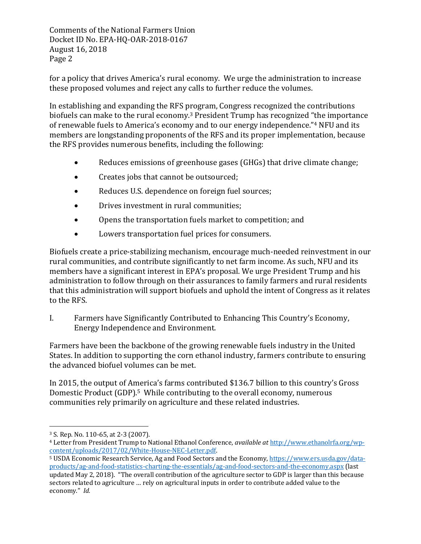for a policy that drives America's rural economy. We urge the administration to increase these proposed volumes and reject any calls to further reduce the volumes.

In establishing and expanding the RFS program, Congress recognized the contributions biofuels can make to the rural economy.<sup>3</sup> President  $T$ rump has recognized "the importance of renewable fuels to America's economy and to our energy independence."<sup>4</sup> NFU and its members are longstanding proponents of the RFS and its proper implementation, because the RFS provides numerous benefits, including the following:

- Reduces emissions of greenhouse gases (GHGs) that drive climate change;
- Creates jobs that cannot be outsourced;
- Reduces U.S. dependence on foreign fuel sources;
- Drives investment in rural communities;
- Opens the transportation fuels market to competition; and
- Lowers transportation fuel prices for consumers.

Biofuels create a price-stabilizing mechanism, encourage much-needed reinvestment in our rural communities, and contribute significantly to net farm income. As such, NFU and its members have a significant interest in EPA's proposal. We urge President Trump and his administration to follow through on their assurances to family farmers and rural residents that this administration will support biofuels and uphold the intent of Congress as it relates to the RFS.

I. Farmers have Significantly Contributed to Enhancing This Country's Economy, Energy Independence and Environment.

Farmers have been the backbone of the growing renewable fuels industry in the United States. In addition to supporting the corn ethanol industry, farmers contribute to ensuring the advanced biofuel volumes can be met.

In 2015, the output of America's farms contributed \$136.7 billion to this country's Gross Domestic Product  $(GDP)$ .<sup>5</sup> While contributing to the overall economy, numerous communities rely primarily on agriculture and these related industries.

 <sup>3</sup> S. Rep. No. 110-65, at 2-3 (2007).

<sup>&</sup>lt;sup>4</sup> Letter from President Trump to National Ethanol Conference, *available at* http://www.ethanolrfa.org/wpcontent/uploads/2017/02/White-House-NEC-Letter.pdf. 

<sup>&</sup>lt;sup>5</sup> USDA Economic Research Service, Ag and Food Sectors and the Economy, https://www.ers.usda.gov/dataproducts/ag-and-food-statistics-charting-the-essentials/ag-and-food-sectors-and-the-economy.aspx (last updated May 2, 2018). "The overall contribution of the agriculture sector to GDP is larger than this because sectors related to agriculture ... rely on agricultural inputs in order to contribute added value to the economy." Id.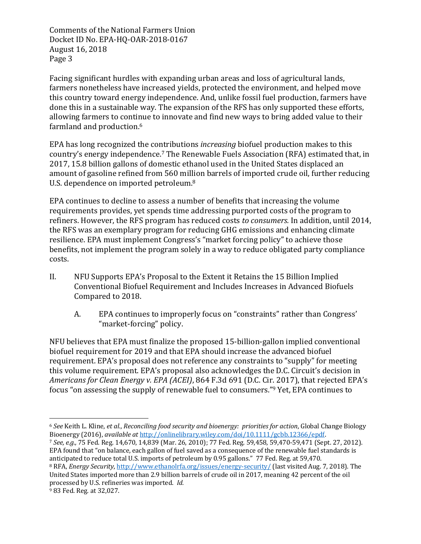Facing significant hurdles with expanding urban areas and loss of agricultural lands, farmers nonetheless have increased yields, protected the environment, and helped move this country toward energy independence. And, unlike fossil fuel production, farmers have done this in a sustainable way. The expansion of the RFS has only supported these efforts, allowing farmers to continue to innovate and find new ways to bring added value to their farmland and production.<sup>6</sup>

EPA has long recognized the contributions *increasing* biofuel production makes to this country's energy independence.<sup>7</sup> The Renewable Fuels Association (RFA) estimated that, in 2017, 15.8 billion gallons of domestic ethanol used in the United States displaced an amount of gasoline refined from 560 million barrels of imported crude oil, further reducing U.S. dependence on imported petroleum.<sup>8</sup>

EPA continues to decline to assess a number of benefits that increasing the volume requirements provides, yet spends time addressing purported costs of the program to refiners. However, the RFS program has reduced costs *to consumers*. In addition, until 2014, the RFS was an exemplary program for reducing GHG emissions and enhancing climate resilience. EPA must implement Congress's "market forcing policy" to achieve those benefits, not implement the program solely in a way to reduce obligated party compliance costs.

- II. NFU Supports EPA's Proposal to the Extent it Retains the 15 Billion Implied Conventional Biofuel Requirement and Includes Increases in Advanced Biofuels Compared to 2018.
	- A. EPA continues to improperly focus on "constraints" rather than Congress' "market-forcing" policy.

NFU believes that EPA must finalize the proposed 15-billion-gallon implied conventional biofuel requirement for 2019 and that EPA should increase the advanced biofuel requirement. EPA's proposal does not reference any constraints to "supply" for meeting this volume requirement. EPA's proposal also acknowledges the D.C. Circuit's decision in *Americans for Clean Energy v. EPA (ACEI)*, 864 F.3d 691 (D.C. Cir. 2017), that rejected EPA's focus "on assessing the supply of renewable fuel to consumers."<sup>9</sup> Yet, EPA continues to

<sup>&</sup>lt;sup>6</sup> See Keith L. Kline, et al., Reconciling food security and bioenergy: priorities for action, Global Change Biology Bioenergy (2016), *available at http://onlinelibrary.wiley.com/doi/10.1111/gcbb.12366/epdf.* 

<sup>7</sup> *See, e.g.,* 75 Fed. Reg. 14,670, 14,839 (Mar. 26, 2010); 77 Fed. Reg. 59,458, 59,470-59,471 (Sept. 27, 2012). EPA found that "on balance, each gallon of fuel saved as a consequence of the renewable fuel standards is anticipated to reduce total U.S. imports of petroleum by 0.95 gallons." 77 Fed. Reg. at 59,470. <sup>8</sup> RFA, *Energy Security*, http://www.ethanolrfa.org/issues/energy-security/ (last visited Aug. 7, 2018). The

United States imported more than 2.9 billion barrels of crude oil in 2017, meaning 42 percent of the oil processed by U.S. refineries was imported. *Id.* 

 $983$  Fed. Reg. at 32,027.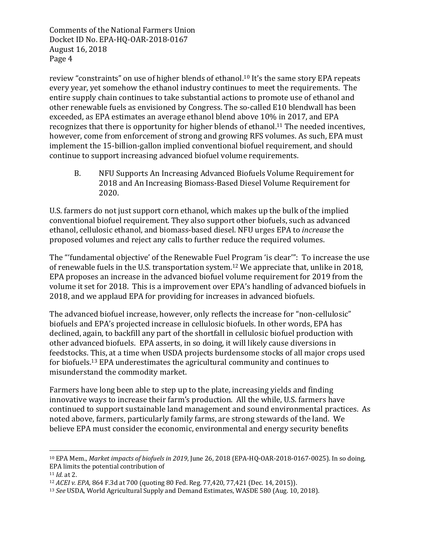review "constraints" on use of higher blends of ethanol.<sup>10</sup> It's the same story EPA repeats every year, yet somehow the ethanol industry continues to meet the requirements. The entire supply chain continues to take substantial actions to promote use of ethanol and other renewable fuels as envisioned by Congress. The so-called E10 blendwall has been exceeded, as EPA estimates an average ethanol blend above 10% in 2017, and EPA recognizes that there is opportunity for higher blends of ethanol.<sup>11</sup> The needed incentives, however, come from enforcement of strong and growing RFS volumes. As such, EPA must implement the 15-billion-gallon implied conventional biofuel requirement, and should continue to support increasing advanced biofuel volume requirements.

B. NFU Supports An Increasing Advanced Biofuels Volume Requirement for 2018 and An Increasing Biomass-Based Diesel Volume Requirement for 2020.

U.S. farmers do not just support corn ethanol, which makes up the bulk of the implied conventional biofuel requirement. They also support other biofuels, such as advanced ethanol, cellulosic ethanol, and biomass-based diesel. NFU urges EPA to *increase* the proposed volumes and reject any calls to further reduce the required volumes.

The "'fundamental objective' of the Renewable Fuel Program 'is clear'": To increase the use of renewable fuels in the U.S. transportation system.<sup>12</sup> We appreciate that, unlike in 2018, EPA proposes an increase in the advanced biofuel volume requirement for 2019 from the volume it set for 2018. This is a improvement over EPA's handling of advanced biofuels in 2018, and we applaud EPA for providing for increases in advanced biofuels.

The advanced biofuel increase, however, only reflects the increase for "non-cellulosic" biofuels and EPA's projected increase in cellulosic biofuels. In other words, EPA has declined, again, to backfill any part of the shortfall in cellulosic biofuel production with other advanced biofuels. EPA asserts, in so doing, it will likely cause diversions in feedstocks. This, at a time when USDA projects burdensome stocks of all major crops used for biofuels.<sup>13</sup> EPA underestimates the agricultural community and continues to misunderstand the commodity market.

Farmers have long been able to step up to the plate, increasing yields and finding innovative ways to increase their farm's production. All the while, U.S. farmers have continued to support sustainable land management and sound environmental practices. As noted above, farmers, particularly family farms, are strong stewards of the land. We believe EPA must consider the economic, environmental and energy security benefits

<sup>&</sup>lt;sup>10</sup> EPA Mem., *Market impacts of biofuels in 2019*, June 26, 2018 (EPA-HQ-OAR-2018-0167-0025). In so doing, EPA limits the potential contribution of

 $11$  *Id.* at 2.

<sup>&</sup>lt;sup>12</sup> *ACEI* v. *EPA*, 864 F.3d at 700 (quoting 80 Fed. Reg. 77,420, 77,421 (Dec. 14, 2015)).

<sup>&</sup>lt;sup>13</sup> See USDA, World Agricultural Supply and Demand Estimates, WASDE 580 (Aug. 10, 2018).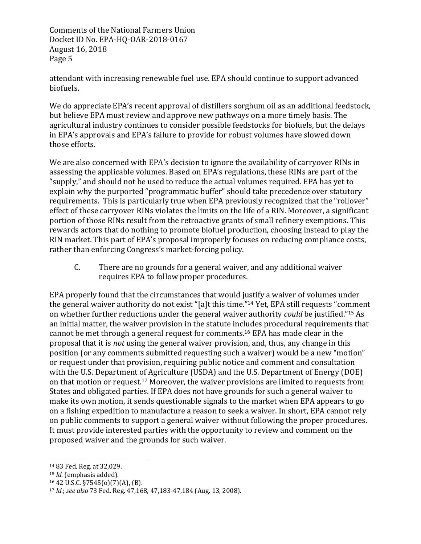attendant with increasing renewable fuel use. EPA should continue to support advanced biofuels.

We do appreciate EPA's recent approval of distillers sorghum oil as an additional feedstock, but believe EPA must review and approve new pathways on a more timely basis. The agricultural industry continues to consider possible feedstocks for biofuels, but the delays in EPA's approvals and EPA's failure to provide for robust volumes have slowed down those efforts.

We are also concerned with EPA's decision to ignore the availability of carryover RINs in assessing the applicable volumes. Based on EPA's regulations, these RINs are part of the "supply," and should not be used to reduce the actual volumes required. EPA has yet to explain why the purported "programmatic buffer" should take precedence over statutory requirements. This is particularly true when EPA previously recognized that the "rollover" effect of these carryover RINs violates the limits on the life of a RIN. Moreover, a significant portion of those RINs result from the retroactive grants of small refinery exemptions. This rewards actors that do nothing to promote biofuel production, choosing instead to play the RIN market. This part of EPA's proposal improperly focuses on reducing compliance costs, rather than enforcing Congress's market-forcing policy.

C. There are no grounds for a general waiver, and any additional waiver requires EPA to follow proper procedures.

EPA properly found that the circumstances that would justify a waiver of volumes under the general waiver authority do not exist "[a]t this time."<sup>14</sup> Yet, EPA still requests "comment on whether further reductions under the general waiver authority *could* be justified."<sup>15</sup> As an initial matter, the waiver provision in the statute includes procedural requirements that cannot be met through a general request for comments.<sup>16</sup> EPA has made clear in the proposal that it is *not* using the general waiver provision, and, thus, any change in this position (or any comments submitted requesting such a waiver) would be a new "motion" or request under that provision, requiring public notice and comment and consultation with the U.S. Department of Agriculture (USDA) and the U.S. Department of Energy (DOE) on that motion or request.<sup>17</sup> Moreover, the waiver provisions are limited to requests from States and obligated parties. If EPA does not have grounds for such a general waiver to make its own motion, it sends questionable signals to the market when EPA appears to go on a fishing expedition to manufacture a reason to seek a waiver. In short, EPA cannot rely on public comments to support a general waiver without following the proper procedures. It must provide interested parties with the opportunity to review and comment on the proposed waiver and the grounds for such waiver.

<sup>14 83</sup> Fed. Reg. at 32,029.

<sup>&</sup>lt;sup>15</sup> *Id.* (emphasis added).

 $16$  42 U.S.C. §7545(o)(7)(A), (B).

<sup>17</sup> *Id.*; see also 73 Fed. Reg. 47,168, 47,183-47,184 (Aug. 13, 2008).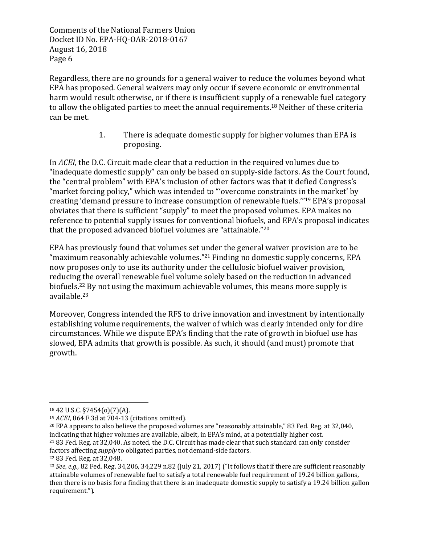Regardless, there are no grounds for a general waiver to reduce the volumes beyond what EPA has proposed. General waivers may only occur if severe economic or environmental harm would result otherwise, or if there is insufficient supply of a renewable fuel category to allow the obligated parties to meet the annual requirements.<sup>18</sup> Neither of these criteria can be met.

> 1. There is adequate domestic supply for higher volumes than EPA is proposing.

In *ACEI*, the D.C. Circuit made clear that a reduction in the required volumes due to "inadequate domestic supply" can only be based on supply-side factors. As the Court found, the "central problem" with EPA's inclusion of other factors was that it defied Congress's "market forcing policy," which was intended to "'overcome constraints in the market' by creating 'demand pressure to increase consumption of renewable fuels."<sup>19</sup> EPA's proposal obviates that there is sufficient "supply" to meet the proposed volumes. EPA makes no reference to potential supply issues for conventional biofuels, and EPA's proposal indicates that the proposed advanced biofuel volumes are "attainable."<sup>20</sup>

EPA has previously found that volumes set under the general waiver provision are to be "maximum reasonably achievable volumes."<sup>21</sup> Finding no domestic supply concerns, EPA now proposes only to use its authority under the cellulosic biofuel waiver provision, reducing the overall renewable fuel volume solely based on the reduction in advanced biofuels.<sup>22</sup> By not using the maximum achievable volumes, this means more supply is available.23

Moreover, Congress intended the RFS to drive innovation and investment by intentionally establishing volume requirements, the waiver of which was clearly intended only for dire circumstances. While we dispute EPA's finding that the rate of growth in biofuel use has slowed, EPA admits that growth is possible. As such, it should (and must) promote that growth.

 $18\,42\,$  U.S.C. §7454(o)(7)(A).

<sup>&</sup>lt;sup>19</sup> *ACEI*, 864 F.3d at 704-13 (citations omitted).

 $20$  EPA appears to also believe the proposed volumes are "reasonably attainable," 83 Fed. Reg. at 32,040, indicating that higher volumes are available, albeit, in EPA's mind, at a potentially higher cost. <sup>21</sup> 83 Fed. Reg. at 32,040. As noted, the D.C. Circuit has made clear that such standard can only consider factors affecting *supply* to obligated parties, not demand-side factors.

<sup>22</sup> 83 Fed. Reg. at 32,048.

<sup>&</sup>lt;sup>23</sup> *See, e.g.,* 82 Fed. Reg. 34,206, 34,229 n.82 (July 21, 2017) ("It follows that if there are sufficient reasonably attainable volumes of renewable fuel to satisfy a total renewable fuel requirement of 19.24 billion gallons, then there is no basis for a finding that there is an inadequate domestic supply to satisfy a 19.24 billion gallon requirement.").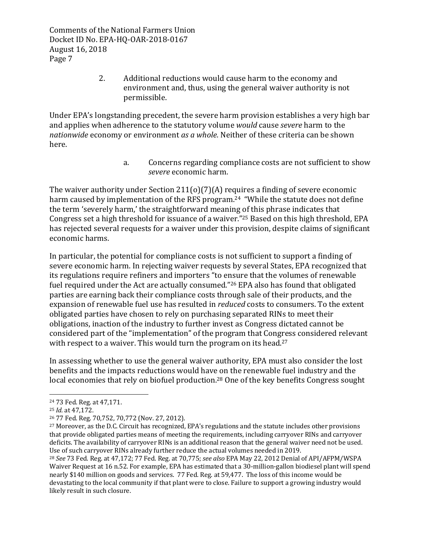> 2. Additional reductions would cause harm to the economy and environment and, thus, using the general waiver authority is not permissible.

Under EPA's longstanding precedent, the severe harm provision establishes a very high bar and applies when adherence to the statutory volume *would* cause *severe* harm to the *nationwide* economy or environment *as a whole.* Neither of these criteria can be shown here.

> a. Concerns regarding compliance costs are not sufficient to show *severe* economic harm.

The waiver authority under Section  $211(0)(7)(A)$  requires a finding of severe economic harm caused by implementation of the RFS program.<sup>24</sup> "While the statute does not define the term 'severely harm,' the straightforward meaning of this phrase indicates that Congress set a high threshold for issuance of a waiver."<sup>25</sup> Based on this high threshold, EPA has rejected several requests for a waiver under this provision, despite claims of significant economic harms.

In particular, the potential for compliance costs is not sufficient to support a finding of severe economic harm. In rejecting waiver requests by several States, EPA recognized that its regulations require refiners and importers "to ensure that the volumes of renewable fuel required under the Act are actually consumed."<sup>26</sup> EPA also has found that obligated parties are earning back their compliance costs through sale of their products, and the expansion of renewable fuel use has resulted in *reduced* costs to consumers. To the extent obligated parties have chosen to rely on purchasing separated RINs to meet their obligations, inaction of the industry to further invest as Congress dictated cannot be considered part of the "implementation" of the program that Congress considered relevant with respect to a waiver. This would turn the program on its head.<sup>27</sup>

In assessing whether to use the general waiver authority, EPA must also consider the lost benefits and the impacts reductions would have on the renewable fuel industry and the local economies that rely on biofuel production.<sup>28</sup> One of the key benefits Congress sought

<sup>&</sup>lt;sup>24</sup> 73 Fed. Reg. at 47,171.

<sup>25</sup> *Id.* at 47,172.

<sup>&</sup>lt;sup>26</sup> 77 Fed. Reg. 70,752, 70,772 (Nov. 27, 2012).

<sup>&</sup>lt;sup>27</sup> Moreover, as the D.C. Circuit has recognized, EPA's regulations and the statute includes other provisions that provide obligated parties means of meeting the requirements, including carryover RINs and carryover deficits. The availability of carryover RINs is an additional reason that the general waiver need not be used. Use of such carryover RINs already further reduce the actual volumes needed in 2019.

<sup>&</sup>lt;sup>28</sup> See 73 Fed. Reg. at 47,172; 77 Fed. Reg. at 70,775; see also EPA May 22, 2012 Denial of API/AFPM/WSPA Waiver Request at 16 n.52. For example, EPA has estimated that a 30-million-gallon biodiesel plant will spend nearly \$140 million on goods and services. 77 Fed. Reg. at 59,477. The loss of this income would be devastating to the local community if that plant were to close. Failure to support a growing industry would likely result in such closure.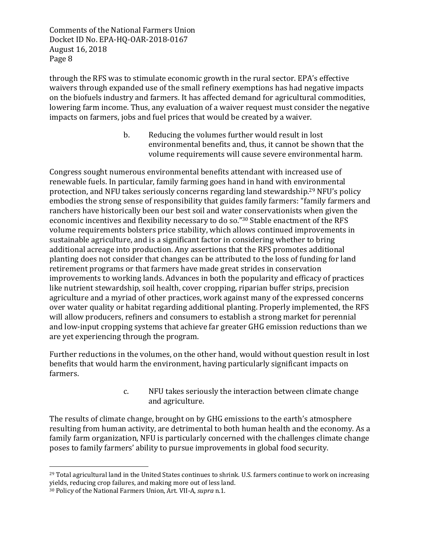through the RFS was to stimulate economic growth in the rural sector. EPA's effective waivers through expanded use of the small refinery exemptions has had negative impacts on the biofuels industry and farmers. It has affected demand for agricultural commodities, lowering farm income. Thus, any evaluation of a waiver request must consider the negative impacts on farmers, jobs and fuel prices that would be created by a waiver.

> b. Reducing the volumes further would result in lost environmental benefits and, thus, it cannot be shown that the volume requirements will cause severe environmental harm.

Congress sought numerous environmental benefits attendant with increased use of renewable fuels. In particular, family farming goes hand in hand with environmental protection, and NFU takes seriously concerns regarding land stewardship.<sup>29</sup> NFU's policy embodies the strong sense of responsibility that guides family farmers: "family farmers and ranchers have historically been our best soil and water conservationists when given the economic incentives and flexibility necessary to do so."30 Stable enactment of the RFS volume requirements bolsters price stability, which allows continued improvements in sustainable agriculture, and is a significant factor in considering whether to bring additional acreage into production. Any assertions that the RFS promotes additional planting does not consider that changes can be attributed to the loss of funding for land retirement programs or that farmers have made great strides in conservation improvements to working lands. Advances in both the popularity and efficacy of practices like nutrient stewardship, soil health, cover cropping, riparian buffer strips, precision agriculture and a myriad of other practices, work against many of the expressed concerns over water quality or habitat regarding additional planting. Properly implemented, the RFS will allow producers, refiners and consumers to establish a strong market for perennial and low-input cropping systems that achieve far greater GHG emission reductions than we are yet experiencing through the program.

Further reductions in the volumes, on the other hand, would without question result in lost benefits that would harm the environment, having particularly significant impacts on farmers.

> c. NFU takes seriously the interaction between climate change and agriculture.

The results of climate change, brought on by GHG emissions to the earth's atmosphere resulting from human activity, are detrimental to both human health and the economy. As a family farm organization, NFU is particularly concerned with the challenges climate change poses to family farmers' ability to pursue improvements in global food security.

 $^{29}$  Total agricultural land in the United States continues to shrink. U.S. farmers continue to work on increasing yields, reducing crop failures, and making more out of less land.

<sup>&</sup>lt;sup>30</sup> Policy of the National Farmers Union, Art. VII-A, *supra* n.1.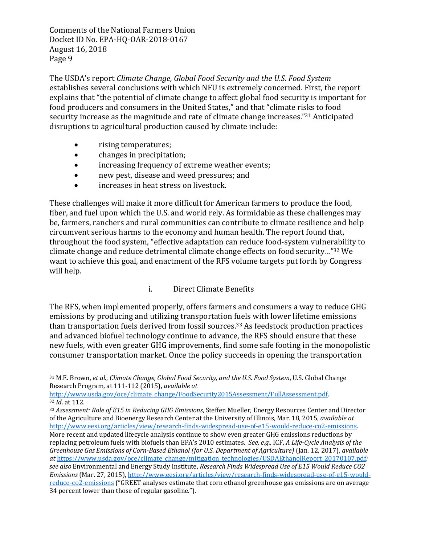The USDA's report *Climate Change, Global Food Security and the U.S. Food System* establishes several conclusions with which NFU is extremely concerned. First, the report explains that "the potential of climate change to affect global food security is important for food producers and consumers in the United States," and that "climate risks to food security increase as the magnitude and rate of climate change increases."<sup>31</sup> Anticipated disruptions to agricultural production caused by climate include:

• rising temperatures;

 

- changes in precipitation;
- increasing frequency of extreme weather events;
- new pest, disease and weed pressures; and
- increases in heat stress on livestock.

These challenges will make it more difficult for American farmers to produce the food, fiber, and fuel upon which the U.S. and world rely. As formidable as these challenges may be, farmers, ranchers and rural communities can contribute to climate resilience and help circumvent serious harms to the economy and human health. The report found that, throughout the food system, "effective adaptation can reduce food-system vulnerability to climate change and reduce detrimental climate change effects on food security..."<sup>32</sup> We want to achieve this goal, and enactment of the RFS volume targets put forth by Congress will help.

## i. Direct Climate Benefits

The RFS, when implemented properly, offers farmers and consumers a way to reduce GHG emissions by producing and utilizing transportation fuels with lower lifetime emissions than transportation fuels derived from fossil sources.<sup>33</sup> As feedstock production practices and advanced biofuel technology continue to advance, the RFS should ensure that these new fuels, with even greater GHG improvements, find some safe footing in the monopolistic consumer transportation market. Once the policy succeeds in opening the transportation

<sup>31</sup> M.E. Brown, et al., Climate Change, Global Food Security, and the U.S. Food System, U.S. Global Change Research Program, at 111-112 (2015), *available at* 

http://www.usda.gov/oce/climate\_change/FoodSecurity2015Assessment/FullAssessment.pdf. 32 *Id.* at 112.

<sup>33</sup> Assessment: Role of E15 in Reducing GHG Emissions, Steffen Mueller, Energy Resources Center and Director of the Agriculture and Bioenergy Research Center at the University of Illinois, Mar. 18, 2015, *available at* http://www.eesi.org/articles/view/research-finds-widespread-use-of-e15-would-reduce-co2-emissions. More recent and updated lifecycle analysis continue to show even greater GHG emissions reductions by replacing petroleum fuels with biofuels than EPA's 2010 estimates. *See, e.g.*, ICF, *A Life-Cycle Analysis of the Greenhouse Gas Emissions of Corn-Based Ethanol (for U.S. Department of Agriculture)* (Jan. 12, 2017), *available at* https://www.usda.gov/oce/climate\_change/mitigation\_technologies/USDAEthanolReport\_20170107.pdf*;*  see also Environmental and Energy Study Institute, *Research Finds Widespread Use of E15 Would Reduce CO2 Emissions* (Mar. 27, 2015), http://www.eesi.org/articles/view/research-finds-widespread-use-of-e15-wouldreduce-co2-emissions ("GREET analyses estimate that corn ethanol greenhouse gas emissions are on average 34 percent lower than those of regular gasoline.").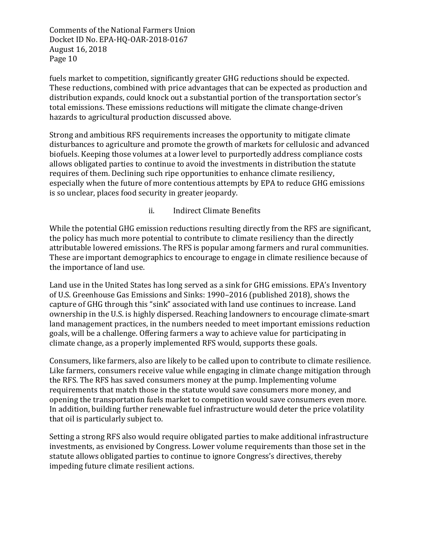fuels market to competition, significantly greater GHG reductions should be expected. These reductions, combined with price advantages that can be expected as production and distribution expands, could knock out a substantial portion of the transportation sector's total emissions. These emissions reductions will mitigate the climate change-driven hazards to agricultural production discussed above.

Strong and ambitious RFS requirements increases the opportunity to mitigate climate disturbances to agriculture and promote the growth of markets for cellulosic and advanced biofuels. Keeping those volumes at a lower level to purportedly address compliance costs allows obligated parties to continue to avoid the investments in distribution the statute requires of them. Declining such ripe opportunities to enhance climate resiliency, especially when the future of more contentious attempts by EPA to reduce GHG emissions is so unclear, places food security in greater jeopardy.

## ii. Indirect Climate Benefits

While the potential GHG emission reductions resulting directly from the RFS are significant, the policy has much more potential to contribute to climate resiliency than the directly attributable lowered emissions. The RFS is popular among farmers and rural communities. These are important demographics to encourage to engage in climate resilience because of the importance of land use.

Land use in the United States has long served as a sink for GHG emissions. EPA's Inventory of U.S. Greenhouse Gas Emissions and Sinks: 1990–2016 (published 2018), shows the capture of GHG through this "sink" associated with land use continues to increase. Land ownership in the U.S. is highly dispersed. Reaching landowners to encourage climate-smart land management practices, in the numbers needed to meet important emissions reduction goals, will be a challenge. Offering farmers a way to achieve value for participating in climate change, as a properly implemented RFS would, supports these goals.

Consumers, like farmers, also are likely to be called upon to contribute to climate resilience. Like farmers, consumers receive value while engaging in climate change mitigation through the RFS. The RFS has saved consumers money at the pump. Implementing volume requirements that match those in the statute would save consumers more money, and opening the transportation fuels market to competition would save consumers even more. In addition, building further renewable fuel infrastructure would deter the price volatility that oil is particularly subject to.

Setting a strong RFS also would require obligated parties to make additional infrastructure investments, as envisioned by Congress. Lower volume requirements than those set in the statute allows obligated parties to continue to ignore Congress's directives, thereby impeding future climate resilient actions.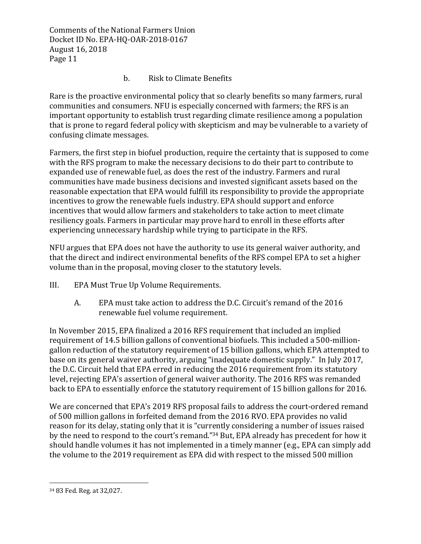## b. Risk to Climate Benefits

Rare is the proactive environmental policy that so clearly benefits so many farmers, rural communities and consumers. NFU is especially concerned with farmers; the RFS is an important opportunity to establish trust regarding climate resilience among a population that is prone to regard federal policy with skepticism and may be vulnerable to a variety of confusing climate messages.

Farmers, the first step in biofuel production, require the certainty that is supposed to come with the RFS program to make the necessary decisions to do their part to contribute to expanded use of renewable fuel, as does the rest of the industry. Farmers and rural communities have made business decisions and invested significant assets based on the reasonable expectation that EPA would fulfill its responsibility to provide the appropriate incentives to grow the renewable fuels industry. EPA should support and enforce incentives that would allow farmers and stakeholders to take action to meet climate resiliency goals. Farmers in particular may prove hard to enroll in these efforts after experiencing unnecessary hardship while trying to participate in the RFS.

NFU argues that EPA does not have the authority to use its general waiver authority, and that the direct and indirect environmental benefits of the RFS compel EPA to set a higher volume than in the proposal, moving closer to the statutory levels.

- III. EPA Must True Up Volume Requirements.
	- A. EPA must take action to address the D.C. Circuit's remand of the 2016 renewable fuel volume requirement.

In November 2015, EPA finalized a 2016 RFS requirement that included an implied requirement of 14.5 billion gallons of conventional biofuels. This included a 500-milliongallon reduction of the statutory requirement of 15 billion gallons, which EPA attempted to base on its general waiver authority, arguing "inadequate domestic supply." In July 2017, the D.C. Circuit held that EPA erred in reducing the 2016 requirement from its statutory level, rejecting EPA's assertion of general waiver authority. The 2016 RFS was remanded back to EPA to essentially enforce the statutory requirement of 15 billion gallons for 2016.

We are concerned that EPA's 2019 RFS proposal fails to address the court-ordered remand of 500 million gallons in forfeited demand from the 2016 RVO. EPA provides no valid reason for its delay, stating only that it is "currently considering a number of issues raised by the need to respond to the court's remand."<sup>34</sup> But, EPA already has precedent for how it should handle volumes it has not implemented in a timely manner (e.g., EPA can simply add the volume to the 2019 requirement as EPA did with respect to the missed 500 million

<sup>&</sup>lt;sup>34</sup> 83 Fed. Reg. at 32,027.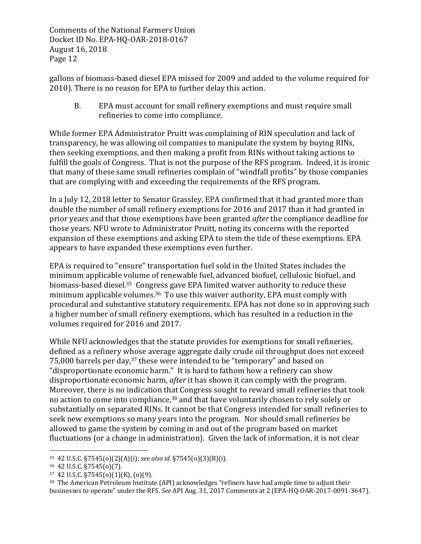gallons of biomass-based diesel EPA missed for 2009 and added to the volume required for 2010). There is no reason for EPA to further delay this action.

B. EPA must account for small refinery exemptions and must require small refineries to come into compliance.

While former EPA Administrator Pruitt was complaining of RIN speculation and lack of transparency, he was allowing oil companies to manipulate the system by buying RINs, then seeking exemptions, and then making a profit from RINs without taking actions to fulfill the goals of Congress. That is not the purpose of the RFS program. Indeed, it is ironic that many of these same small refineries complain of "windfall profits" by those companies that are complying with and exceeding the requirements of the RFS program.

In a July 12, 2018 letter to Senator Grassley, EPA confirmed that it had granted more than double the number of small refinery exemptions for 2016 and 2017 than it had granted in prior years and that those exemptions have been granted *after* the compliance deadline for those years. NFU wrote to Administrator Pruitt, noting its concerns with the reported expansion of these exemptions and asking EPA to stem the tide of these exemptions. EPA appears to have expanded these exemptions even further.

EPA is required to "ensure" transportation fuel sold in the United States includes the minimum applicable volume of renewable fuel, advanced biofuel, cellulosic biofuel, and biomass-based diesel.<sup>35</sup> Congress gave EPA limited waiver authority to reduce these minimum applicable volumes. $36$  To use this waiver authority, EPA must comply with procedural and substantive statutory requirements. EPA has not done so in approving such a higher number of small refinery exemptions, which has resulted in a reduction in the volumes required for 2016 and 2017.

While NFU acknowledges that the statute provides for exemptions for small refineries, defined as a refinery whose average aggregate daily crude oil throughput does not exceed 75,000 barrels per day, $37$  these were intended to be "temporary" and based on "disproportionate economic harm." It is hard to fathom how a refinery can show disproportionate economic harm, *after* it has shown it can comply with the program. Moreover, there is no indication that Congress sought to reward small refineries that took no action to come into compliance,<sup>38</sup> and that have voluntarily chosen to rely solely or substantially on separated RINs. It cannot be that Congress intended for small refineries to seek new exemptions so many years into the program. Nor should small refineries be allowed to game the system by coming in and out of the program based on market fluctuations (or a change in administration). Given the lack of information, it is not clear

<sup>35 42</sup> U.S.C. §7545(o)(2)(A)(i); *see also id.* §7545(o)(3)(B)(i).

<sup>36 42</sup> U.S.C. §7545(o)(7).

 $37$  42 U.S.C.  $\S7545(0)(1)(K)$ ,  $(0)(9)$ .

<sup>&</sup>lt;sup>38</sup> The American Petroleum Institute (API) acknowledges "refiners have had ample time to adjust their businesses to operate" under the RFS. See API Aug. 31, 2017 Comments at 2 (EPA-HQ-OAR-2017-0091-3647).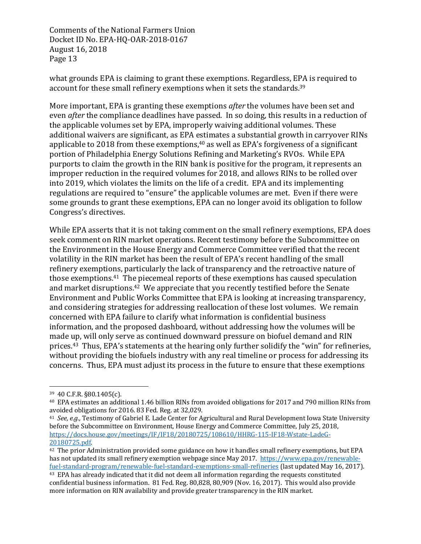what grounds EPA is claiming to grant these exemptions. Regardless, EPA is required to account for these small refinery exemptions when it sets the standards.<sup>39</sup>

More important, EPA is granting these exemptions *after* the volumes have been set and even *after* the compliance deadlines have passed. In so doing, this results in a reduction of the applicable volumes set by EPA, improperly waiving additional volumes. These additional waivers are significant, as EPA estimates a substantial growth in carryover RINs applicable to 2018 from these exemptions,  $40$  as well as EPA's forgiveness of a significant portion of Philadelphia Energy Solutions Refining and Marketing's RVOs. While EPA purports to claim the growth in the RIN bank is positive for the program, it represents an improper reduction in the required volumes for 2018, and allows RINs to be rolled over into 2019, which violates the limits on the life of a credit. EPA and its implementing regulations are required to "ensure" the applicable volumes are met. Even if there were some grounds to grant these exemptions, EPA can no longer avoid its obligation to follow Congress's directives.

While EPA asserts that it is not taking comment on the small refinery exemptions, EPA does seek comment on RIN market operations. Recent testimony before the Subcommittee on the Environment in the House Energy and Commerce Committee verified that the recent volatility in the RIN market has been the result of EPA's recent handling of the small refinery exemptions, particularly the lack of transparency and the retroactive nature of those exemptions.<sup>41</sup> The piecemeal reports of these exemptions has caused speculation and market disruptions.<sup>42</sup> We appreciate that you recently testified before the Senate Environment and Public Works Committee that EPA is looking at increasing transparency, and considering strategies for addressing reallocation of these lost volumes. We remain concerned with EPA failure to clarify what information is confidential business information, and the proposed dashboard, without addressing how the volumes will be made up, will only serve as continued downward pressure on biofuel demand and RIN prices.<sup>43</sup> Thus, EPA's statements at the hearing only further solidify the "win" for refineries, without providing the biofuels industry with any real timeline or process for addressing its concerns. Thus, EPA must adjust its process in the future to ensure that these exemptions

<sup>39 40</sup> C.F.R. §80.1405(c).

<sup>&</sup>lt;sup>40</sup> EPA estimates an additional 1.46 billion RINs from avoided obligations for 2017 and 790 million RINs from avoided obligations for 2016. 83 Fed. Reg. at 32,029.

<sup>&</sup>lt;sup>41</sup> *See, e.g.,* Testimony of Gabriel E. Lade Center for Agricultural and Rural Development Iowa State University before the Subcommittee on Environment, House Energy and Commerce Committee, July 25, 2018, https://docs.house.gov/meetings/IF/IF18/20180725/108610/HHRG-115-IF18-Wstate-LadeG-20180725.pdf. 

<sup>&</sup>lt;sup>42</sup> The prior Administration provided some guidance on how it handles small refinery exemptions, but EPA has not updated its small refinery exemption webpage since May 2017. https://www.epa.gov/renewablefuel-standard-program/renewable-fuel-standard-exemptions-small-refineries (last updated May 16, 2017).

<sup>&</sup>lt;sup>43</sup> EPA has already indicated that it did not deem all information regarding the requests constituted confidential business information. 81 Fed. Reg. 80,828, 80,909 (Nov. 16, 2017). This would also provide more information on RIN availability and provide greater transparency in the RIN market.